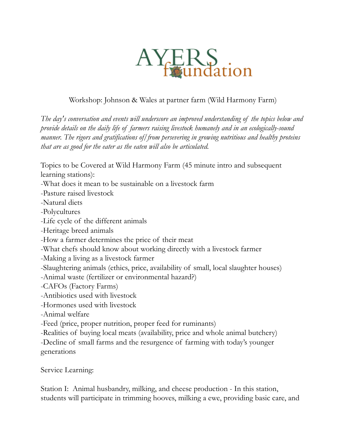

## Workshop: Johnson & Wales at partner farm (Wild Harmony Farm)

*The day's conversation and events will underscore an improved understanding of the topics below and provide details on the daily life of farmers raising livestock humanely and in an ecologically-sound manner. The rigors and gratifications of/from persevering in growing nutritious and healthy proteins that are as good for the eater as the eaten will also be articulated.*

Topics to be Covered at Wild Harmony Farm (45 minute intro and subsequent learning stations):

-What does it mean to be sustainable on a livestock farm

-Pasture raised livestock

-Natural diets

-Polycultures

-Life cycle of the different animals

-Heritage breed animals

-How a farmer determines the price of their meat

-What chefs should know about working directly with a livestock farmer

-Making a living as a livestock farmer

-Slaughtering animals (ethics, price, availability of small, local slaughter houses)

-Animal waste (fertilizer or environmental hazard?)

-CAFOs (Factory Farms)

-Antibiotics used with livestock

-Hormones used with livestock

-Animal welfare

-Feed (price, proper nutrition, proper feed for ruminants)

-Realities of buying local meats (availability, price and whole animal butchery)

-Decline of small farms and the resurgence of farming with today's younger generations

Service Learning:

Station I: Animal husbandry, milking, and cheese production - In this station, students will participate in trimming hooves, milking a ewe, providing basic care, and